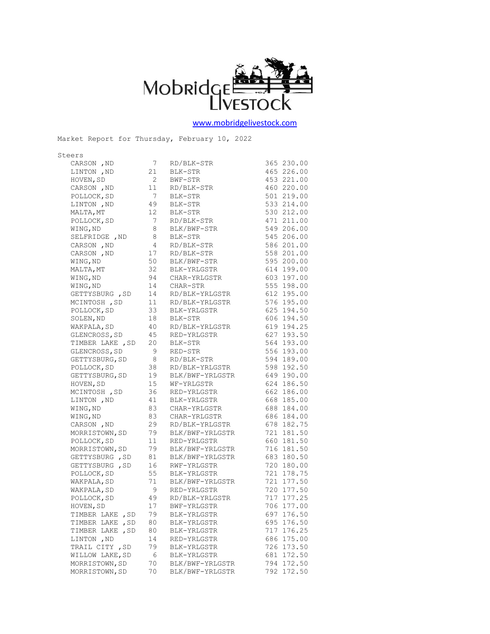

[www.mobridgelivestock.com](http://www.mobridgelivestock.com/)

Steers CARSON ,ND 7 RD/BLK-STR 365 230.00 LINTON ,ND 21 BLK-STR 465 226.00 HOVEN,SD 2 BWF-STR 453 221.00 CARSON ,ND 11 RD/BLK-STR 460 220.00 POLLOCK, SD 7 BLK-STR 501 219.00 LINTON ,ND 49 BLK-STR 533 214.00 MALTA, MT 12 BLK-STR 530 212.00 POLLOCK, SD 7 RD/BLK-STR 471 211.00<br>
WING, ND 8 BLK/BWF-STR 549 206.00 WING, ND 8 BLK/BWF-STR SELFRIDGE , ND 8 BLK-STR 545 206.00 CARSON, ND 4 RD/BLK-STR 586 201.00 CARSON ,ND 17 RD/BLK-STR 558 201.00 WING,ND 50 BLK/BWF-STR 595 200.00 MALTA, MT 32 BLK-YRLGSTR 614 199.00 WING,ND 94 CHAR-YRLGSTR 603 197.00 WING, ND 14 CHAR-STR 555 198.00 GETTYSBURG ,SD 14 RD/BLK-YRLGSTR 612 195.00 MCINTOSH, SD 11 RD/BLK-YRLGSTR 576 195.00 POLLOCK, SD 33 BLK-YRLGSTR 625 194.50 SOLEN, ND 18 BLK-STR 606 194.50<br>WAKPALA, SD 40 RD/BLK-YRLGSTR 619 194.25 WAKPALA,SD 40 RD/BLK-YRLGSTR 619 194.25 GLENCROSS, SD 45 RED-YRLGSTR 627 193.50 TIMBER LAKE , SD 20 BLK-STR 564 193.00<br>GLENCROSS, SD 9 RED-STR 556 193.00 GLENCROSS, SD 9 RED-STR 556 193.00 GETTYSBURG, SD 8 RD/BLK-STR 594 189.00 POLLOCK, SD 38 RD/BLK-YRLGSTR 598 192.50 GETTYSBURG,SD 19 BLK/BWF-YRLGSTR 649 190.00 HOVEN,SD 15 WF-YRLGSTR 624 186.50 HOVEN, SD 15 WF-YRLGSTR 624 186.50<br>
MCINTOSH, SD 36 RED-YRLGSTR 662 186.00 LINTON , ND 41 BLK-YRLGSTR 668 185.00 WING, ND 83 CHAR-YRLGSTR 688 184.00 WING,ND 83 CHAR-YRLGSTR 686 184.00 CARSON ,ND 29 RD/BLK-YRLGSTR 678 182.75 MORRISTOWN, SD 79 BLK/BWF-YRLGSTR 721 181.50 POLLOCK, SD 11 RED-YRLGSTR 660 181.50 MORRISTOWN, SD 79 BLK/BWF-YRLGSTR 716 181.50 MORRISTOWN, SD 79 BLA/BWF INDOOLING<br>GETTYSBURG , SD 81 BLK/BWF-YRLGSTR 683 180.50 GETTYSBURG , SD 16 RWF-YRLGSTR 720 180.00 POLLOCK, SD 55 BLK-YRLGSTR 721 178.75 WAKPALA, SD 71 BLK/BWF-YRLGSTR 721 177.50 WAKPALA, SD 9 RED-YRLGSTR 720 177.50 POLLOCK, SD 49 RD/BLK-YRLGSTR 717 177.25 HOVEN, SD 17 BWF-YRLGSTR 706 177.00<br>TIMBER LAKE .SD 79 BLK-YRLGSTR 697 176.50 TIMBER LAKE , SD 79 BLK-YRLGSTR TIMBER LAKE ,SD 80 BLK-YRLGSTR 695 176.50 TIMBER LAKE , SD 80 BLK-YRLGSTR 717 176.25 LINTON ,ND 14 RED-YRLGSTR 686 175.00 TRAIL CITY , SD 79 BLK-YRLGSTR 726 173.50<br>WILLOW LAKE, SD 6 BLK-YRLGSTR 681 172.50 WILLOW LAKE, SD 6 BLK-YRLGSTR 681 172.50 MORRISTOWN, SD 70 BLK/BWF-YRLGSTR 794 172.50 MORRISTOWN, SD 70 BLK/BWF-YRLGSTR 792 172.50

Market Report for Thursday, February 10, 2022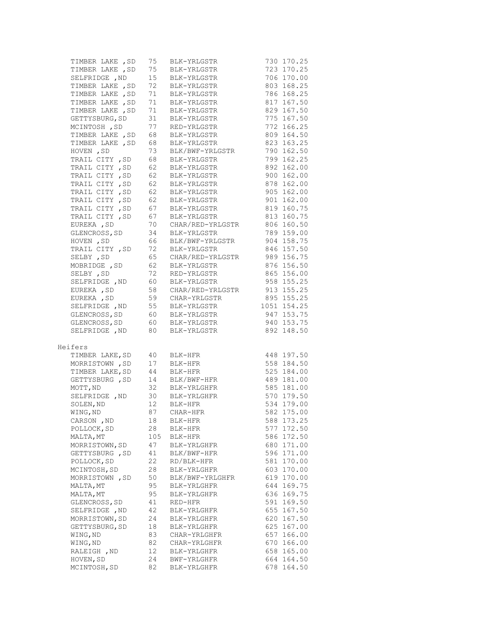| TIMBER LAKE , SD 75 BLK-YRLGSTR<br>TIMBER LAKE , SD 75 BLK-YRLGSTR<br>SELFRIDGE , ND 15 BLK-YRLGSTR<br>TIMBER LAKE , SD 72 BLK-YRLGSTR<br>706 170.00<br>803 168.25<br>TIMBER LAKE, SD 71 BLK-YRLGSTR<br>786 168.25<br>TIMBER LAKE , SD 71 BLK-YRLGSTR<br>TIMBER LAKE , SD 71 BLK-YRLGSTR<br>GETTYSBURG, SD 31 BLK-YRLGSTR<br>817 167.50<br>829 167.50<br>775 167.50<br>MCINTOSH, SD 77 RED-YRLGSTR<br>772 166.25<br>TIMBER LAKE , SD 68 BLK-YRLGSTR<br>TIMBER LAKE , SD 68 BLK-YRLGSTR<br>809 164.50<br>$823$ 163.25<br>73<br>BLK/BWF-YRLGSTR<br>790 162.50<br>HOVEN , SD<br>68       BLK-YRLGSTR<br>62        BLK-YRLGSTR<br>TRAIL CITY , SD<br>799 162.25<br>892 162.00<br>TRAIL CITY, SD<br>TRAIL CITY, SD 62 BLK-YRLGSTR<br>900 162.00<br>TRAIL CITY , SD 62 BLK-YRLGSTR<br>TRAIL CITY , SD 62 BLK-YRLGSTR<br>TRAIL CITY , SD 62 BLK-YRLGSTR<br>878 162.00<br>905 162.00<br>901 162.00<br>TRAIL CITY, SD 67 BLK-YRLGSTR<br>819 160.75<br>TRAIL CITY , SD 67 BLK-YRLGSTR<br>EUREKA , SD 70 CHAR/RED-YRLGSTR<br>813 160.75<br>806 160.50<br>GLENCROSS, SD 34 BLK-YRLGSTR<br>789 159.00<br>904 158.75<br>HOVEN , SD 66 BLK/BWF-YRLGSTR<br>TRAIL CITY , SD 72 BLK-YRLGSTR<br>846 157.50<br>65 CHAR/RED-YRLGSTR 989 156.75<br>SELBY , SD<br>876 156.50<br>MOBRIDGE, SD 62 BLK-YRLGSTR<br>SELBY , SD<br>72<br>RED-YRLGSTR<br>865 156.00<br>SELFRIDGE, ND 60 BLK-YRLGSTR<br>958 155.25<br>EUREKA, SD $\begin{array}{ccc} 58 & \text{CHAR/RED-YRLGSTR} & 913 & 155.25 \\ -2 & \text{CERR/RED-YRLGSTR} & 913 & 155.25 \end{array}$<br>EUREKA, SD 59 CHAR-YRLGSTR<br>SELFRIDGE, ND 55 BLK-YRLGSTR<br>895 155.25<br>$1051$ $154.25$<br>GLENCROSS, SD 60 BLK-YRLGSTR<br>947 153.75<br>60 BLK-YRLGSTR<br>80 BLK-YRLGSTR<br>940 153.75<br>GLENCROSS, SD<br>SELFRIDGE , ND<br>892 148.50<br>Heifers<br>TIMBER LAKE, SD 40 BLK-HFR<br>MORRISTOWN , SD 17 BLK-HFR<br>TIMBER LAKE, SD 44 BLK-HFR<br>GETTYSBURG , SD 14 BLK/BWF-HFR<br>MOTT, ND 32 BLK-YRLGHFR<br>SELFRIDGE ND 30 BLK-YRLGHFR<br>SELFRIDGE ND 30 BLK-YRLGHFR<br>448 197.50<br>558 184.50<br>525 184.00<br>489 181.00<br>585 181.00<br>SELFRIDGE, ND 30 BLK-YRLGHFR 570 179.50<br>SOLEN, ND 12 BLK-HFR 534 179.00<br>WING, ND 87 CHAR-HFR 582 175.00<br>CARSON , ND<br>588 173.25<br>18<br>BLK-HFR<br>28<br>577 172.50<br>POLLOCK, SD<br>BLK-HFR<br>586 172.50<br>MALTA, MT<br>105<br>BLK-HFR<br>47<br>680 171.00<br>MORRISTOWN, SD<br>BLK-YRLGHFR<br>GETTYSBURG , SD<br>41<br>BLK/BWF-HFR<br>596 171.00<br>22<br>RD/BLK-HFR<br>581 170.00<br>POLLOCK, SD<br>28<br>603 170.00<br>MCINTOSH, SD<br>BLK-YRLGHFR<br>619 170.00<br>MORRISTOWN , SD<br>50<br>BLK/BWF-YRLGHFR<br>MALTA, MT<br>95<br>BLK-YRLGHFR<br>644 169.75<br>MALTA, MT<br>95<br>636 169.75<br>BLK-YRLGHFR<br>591<br>169.50<br>GLENCROSS, SD<br>41<br>RED-HFR<br>42<br>655 167.50<br>SELFRIDGE , ND<br>BLK-YRLGHFR<br>MORRISTOWN, SD<br>620<br>24<br>167.50<br>BLK-YRLGHFR<br>GETTYSBURG, SD<br>625<br>167.00<br>18<br>BLK-YRLGHFR<br>83<br>657<br>166.00<br>WING, ND<br>CHAR-YRLGHFR<br>WING, ND<br>82<br>670 166.00<br>CHAR-YRLGHFR<br>658 165.00<br>RALEIGH , ND<br>12<br>BLK-YRLGHFR<br>HOVEN, SD<br>164.50<br>24<br>BWF-YRLGHFR<br>664<br>MCINTOSH, SD<br>82<br>678 164.50<br>BLK-YRLGHFR |  | 730 170.25 |
|------------------------------------------------------------------------------------------------------------------------------------------------------------------------------------------------------------------------------------------------------------------------------------------------------------------------------------------------------------------------------------------------------------------------------------------------------------------------------------------------------------------------------------------------------------------------------------------------------------------------------------------------------------------------------------------------------------------------------------------------------------------------------------------------------------------------------------------------------------------------------------------------------------------------------------------------------------------------------------------------------------------------------------------------------------------------------------------------------------------------------------------------------------------------------------------------------------------------------------------------------------------------------------------------------------------------------------------------------------------------------------------------------------------------------------------------------------------------------------------------------------------------------------------------------------------------------------------------------------------------------------------------------------------------------------------------------------------------------------------------------------------------------------------------------------------------------------------------------------------------------------------------------------------------------------------------------------------------------------------------------------------------------------------------------------------------------------------------------------------------------------------------------------------------------------------------------------------------------------------------------------------------------------------------------------------------------------------------------------------------------------------------------------------------------------------------------------------------------------------------------------------------------------------------------------------------------------------------------------------------------------------------------------------------------------------------------------------------------------------------------------------------------------------------------------------------------------------------------------------------------------------------------------------------------------------------------------------------------------------------------------------------------------------------------------------------------------------------------------------------------------------------------------------------------------------------------------|--|------------|
|                                                                                                                                                                                                                                                                                                                                                                                                                                                                                                                                                                                                                                                                                                                                                                                                                                                                                                                                                                                                                                                                                                                                                                                                                                                                                                                                                                                                                                                                                                                                                                                                                                                                                                                                                                                                                                                                                                                                                                                                                                                                                                                                                                                                                                                                                                                                                                                                                                                                                                                                                                                                                                                                                                                                                                                                                                                                                                                                                                                                                                                                                                                                                                                                            |  | 723 170.25 |
|                                                                                                                                                                                                                                                                                                                                                                                                                                                                                                                                                                                                                                                                                                                                                                                                                                                                                                                                                                                                                                                                                                                                                                                                                                                                                                                                                                                                                                                                                                                                                                                                                                                                                                                                                                                                                                                                                                                                                                                                                                                                                                                                                                                                                                                                                                                                                                                                                                                                                                                                                                                                                                                                                                                                                                                                                                                                                                                                                                                                                                                                                                                                                                                                            |  |            |
|                                                                                                                                                                                                                                                                                                                                                                                                                                                                                                                                                                                                                                                                                                                                                                                                                                                                                                                                                                                                                                                                                                                                                                                                                                                                                                                                                                                                                                                                                                                                                                                                                                                                                                                                                                                                                                                                                                                                                                                                                                                                                                                                                                                                                                                                                                                                                                                                                                                                                                                                                                                                                                                                                                                                                                                                                                                                                                                                                                                                                                                                                                                                                                                                            |  |            |
|                                                                                                                                                                                                                                                                                                                                                                                                                                                                                                                                                                                                                                                                                                                                                                                                                                                                                                                                                                                                                                                                                                                                                                                                                                                                                                                                                                                                                                                                                                                                                                                                                                                                                                                                                                                                                                                                                                                                                                                                                                                                                                                                                                                                                                                                                                                                                                                                                                                                                                                                                                                                                                                                                                                                                                                                                                                                                                                                                                                                                                                                                                                                                                                                            |  |            |
|                                                                                                                                                                                                                                                                                                                                                                                                                                                                                                                                                                                                                                                                                                                                                                                                                                                                                                                                                                                                                                                                                                                                                                                                                                                                                                                                                                                                                                                                                                                                                                                                                                                                                                                                                                                                                                                                                                                                                                                                                                                                                                                                                                                                                                                                                                                                                                                                                                                                                                                                                                                                                                                                                                                                                                                                                                                                                                                                                                                                                                                                                                                                                                                                            |  |            |
|                                                                                                                                                                                                                                                                                                                                                                                                                                                                                                                                                                                                                                                                                                                                                                                                                                                                                                                                                                                                                                                                                                                                                                                                                                                                                                                                                                                                                                                                                                                                                                                                                                                                                                                                                                                                                                                                                                                                                                                                                                                                                                                                                                                                                                                                                                                                                                                                                                                                                                                                                                                                                                                                                                                                                                                                                                                                                                                                                                                                                                                                                                                                                                                                            |  |            |
|                                                                                                                                                                                                                                                                                                                                                                                                                                                                                                                                                                                                                                                                                                                                                                                                                                                                                                                                                                                                                                                                                                                                                                                                                                                                                                                                                                                                                                                                                                                                                                                                                                                                                                                                                                                                                                                                                                                                                                                                                                                                                                                                                                                                                                                                                                                                                                                                                                                                                                                                                                                                                                                                                                                                                                                                                                                                                                                                                                                                                                                                                                                                                                                                            |  |            |
|                                                                                                                                                                                                                                                                                                                                                                                                                                                                                                                                                                                                                                                                                                                                                                                                                                                                                                                                                                                                                                                                                                                                                                                                                                                                                                                                                                                                                                                                                                                                                                                                                                                                                                                                                                                                                                                                                                                                                                                                                                                                                                                                                                                                                                                                                                                                                                                                                                                                                                                                                                                                                                                                                                                                                                                                                                                                                                                                                                                                                                                                                                                                                                                                            |  |            |
|                                                                                                                                                                                                                                                                                                                                                                                                                                                                                                                                                                                                                                                                                                                                                                                                                                                                                                                                                                                                                                                                                                                                                                                                                                                                                                                                                                                                                                                                                                                                                                                                                                                                                                                                                                                                                                                                                                                                                                                                                                                                                                                                                                                                                                                                                                                                                                                                                                                                                                                                                                                                                                                                                                                                                                                                                                                                                                                                                                                                                                                                                                                                                                                                            |  |            |
|                                                                                                                                                                                                                                                                                                                                                                                                                                                                                                                                                                                                                                                                                                                                                                                                                                                                                                                                                                                                                                                                                                                                                                                                                                                                                                                                                                                                                                                                                                                                                                                                                                                                                                                                                                                                                                                                                                                                                                                                                                                                                                                                                                                                                                                                                                                                                                                                                                                                                                                                                                                                                                                                                                                                                                                                                                                                                                                                                                                                                                                                                                                                                                                                            |  |            |
|                                                                                                                                                                                                                                                                                                                                                                                                                                                                                                                                                                                                                                                                                                                                                                                                                                                                                                                                                                                                                                                                                                                                                                                                                                                                                                                                                                                                                                                                                                                                                                                                                                                                                                                                                                                                                                                                                                                                                                                                                                                                                                                                                                                                                                                                                                                                                                                                                                                                                                                                                                                                                                                                                                                                                                                                                                                                                                                                                                                                                                                                                                                                                                                                            |  |            |
|                                                                                                                                                                                                                                                                                                                                                                                                                                                                                                                                                                                                                                                                                                                                                                                                                                                                                                                                                                                                                                                                                                                                                                                                                                                                                                                                                                                                                                                                                                                                                                                                                                                                                                                                                                                                                                                                                                                                                                                                                                                                                                                                                                                                                                                                                                                                                                                                                                                                                                                                                                                                                                                                                                                                                                                                                                                                                                                                                                                                                                                                                                                                                                                                            |  |            |
|                                                                                                                                                                                                                                                                                                                                                                                                                                                                                                                                                                                                                                                                                                                                                                                                                                                                                                                                                                                                                                                                                                                                                                                                                                                                                                                                                                                                                                                                                                                                                                                                                                                                                                                                                                                                                                                                                                                                                                                                                                                                                                                                                                                                                                                                                                                                                                                                                                                                                                                                                                                                                                                                                                                                                                                                                                                                                                                                                                                                                                                                                                                                                                                                            |  |            |
|                                                                                                                                                                                                                                                                                                                                                                                                                                                                                                                                                                                                                                                                                                                                                                                                                                                                                                                                                                                                                                                                                                                                                                                                                                                                                                                                                                                                                                                                                                                                                                                                                                                                                                                                                                                                                                                                                                                                                                                                                                                                                                                                                                                                                                                                                                                                                                                                                                                                                                                                                                                                                                                                                                                                                                                                                                                                                                                                                                                                                                                                                                                                                                                                            |  |            |
|                                                                                                                                                                                                                                                                                                                                                                                                                                                                                                                                                                                                                                                                                                                                                                                                                                                                                                                                                                                                                                                                                                                                                                                                                                                                                                                                                                                                                                                                                                                                                                                                                                                                                                                                                                                                                                                                                                                                                                                                                                                                                                                                                                                                                                                                                                                                                                                                                                                                                                                                                                                                                                                                                                                                                                                                                                                                                                                                                                                                                                                                                                                                                                                                            |  |            |
|                                                                                                                                                                                                                                                                                                                                                                                                                                                                                                                                                                                                                                                                                                                                                                                                                                                                                                                                                                                                                                                                                                                                                                                                                                                                                                                                                                                                                                                                                                                                                                                                                                                                                                                                                                                                                                                                                                                                                                                                                                                                                                                                                                                                                                                                                                                                                                                                                                                                                                                                                                                                                                                                                                                                                                                                                                                                                                                                                                                                                                                                                                                                                                                                            |  |            |
|                                                                                                                                                                                                                                                                                                                                                                                                                                                                                                                                                                                                                                                                                                                                                                                                                                                                                                                                                                                                                                                                                                                                                                                                                                                                                                                                                                                                                                                                                                                                                                                                                                                                                                                                                                                                                                                                                                                                                                                                                                                                                                                                                                                                                                                                                                                                                                                                                                                                                                                                                                                                                                                                                                                                                                                                                                                                                                                                                                                                                                                                                                                                                                                                            |  |            |
|                                                                                                                                                                                                                                                                                                                                                                                                                                                                                                                                                                                                                                                                                                                                                                                                                                                                                                                                                                                                                                                                                                                                                                                                                                                                                                                                                                                                                                                                                                                                                                                                                                                                                                                                                                                                                                                                                                                                                                                                                                                                                                                                                                                                                                                                                                                                                                                                                                                                                                                                                                                                                                                                                                                                                                                                                                                                                                                                                                                                                                                                                                                                                                                                            |  |            |
|                                                                                                                                                                                                                                                                                                                                                                                                                                                                                                                                                                                                                                                                                                                                                                                                                                                                                                                                                                                                                                                                                                                                                                                                                                                                                                                                                                                                                                                                                                                                                                                                                                                                                                                                                                                                                                                                                                                                                                                                                                                                                                                                                                                                                                                                                                                                                                                                                                                                                                                                                                                                                                                                                                                                                                                                                                                                                                                                                                                                                                                                                                                                                                                                            |  |            |
|                                                                                                                                                                                                                                                                                                                                                                                                                                                                                                                                                                                                                                                                                                                                                                                                                                                                                                                                                                                                                                                                                                                                                                                                                                                                                                                                                                                                                                                                                                                                                                                                                                                                                                                                                                                                                                                                                                                                                                                                                                                                                                                                                                                                                                                                                                                                                                                                                                                                                                                                                                                                                                                                                                                                                                                                                                                                                                                                                                                                                                                                                                                                                                                                            |  |            |
|                                                                                                                                                                                                                                                                                                                                                                                                                                                                                                                                                                                                                                                                                                                                                                                                                                                                                                                                                                                                                                                                                                                                                                                                                                                                                                                                                                                                                                                                                                                                                                                                                                                                                                                                                                                                                                                                                                                                                                                                                                                                                                                                                                                                                                                                                                                                                                                                                                                                                                                                                                                                                                                                                                                                                                                                                                                                                                                                                                                                                                                                                                                                                                                                            |  |            |
|                                                                                                                                                                                                                                                                                                                                                                                                                                                                                                                                                                                                                                                                                                                                                                                                                                                                                                                                                                                                                                                                                                                                                                                                                                                                                                                                                                                                                                                                                                                                                                                                                                                                                                                                                                                                                                                                                                                                                                                                                                                                                                                                                                                                                                                                                                                                                                                                                                                                                                                                                                                                                                                                                                                                                                                                                                                                                                                                                                                                                                                                                                                                                                                                            |  |            |
|                                                                                                                                                                                                                                                                                                                                                                                                                                                                                                                                                                                                                                                                                                                                                                                                                                                                                                                                                                                                                                                                                                                                                                                                                                                                                                                                                                                                                                                                                                                                                                                                                                                                                                                                                                                                                                                                                                                                                                                                                                                                                                                                                                                                                                                                                                                                                                                                                                                                                                                                                                                                                                                                                                                                                                                                                                                                                                                                                                                                                                                                                                                                                                                                            |  |            |
|                                                                                                                                                                                                                                                                                                                                                                                                                                                                                                                                                                                                                                                                                                                                                                                                                                                                                                                                                                                                                                                                                                                                                                                                                                                                                                                                                                                                                                                                                                                                                                                                                                                                                                                                                                                                                                                                                                                                                                                                                                                                                                                                                                                                                                                                                                                                                                                                                                                                                                                                                                                                                                                                                                                                                                                                                                                                                                                                                                                                                                                                                                                                                                                                            |  |            |
|                                                                                                                                                                                                                                                                                                                                                                                                                                                                                                                                                                                                                                                                                                                                                                                                                                                                                                                                                                                                                                                                                                                                                                                                                                                                                                                                                                                                                                                                                                                                                                                                                                                                                                                                                                                                                                                                                                                                                                                                                                                                                                                                                                                                                                                                                                                                                                                                                                                                                                                                                                                                                                                                                                                                                                                                                                                                                                                                                                                                                                                                                                                                                                                                            |  |            |
|                                                                                                                                                                                                                                                                                                                                                                                                                                                                                                                                                                                                                                                                                                                                                                                                                                                                                                                                                                                                                                                                                                                                                                                                                                                                                                                                                                                                                                                                                                                                                                                                                                                                                                                                                                                                                                                                                                                                                                                                                                                                                                                                                                                                                                                                                                                                                                                                                                                                                                                                                                                                                                                                                                                                                                                                                                                                                                                                                                                                                                                                                                                                                                                                            |  |            |
|                                                                                                                                                                                                                                                                                                                                                                                                                                                                                                                                                                                                                                                                                                                                                                                                                                                                                                                                                                                                                                                                                                                                                                                                                                                                                                                                                                                                                                                                                                                                                                                                                                                                                                                                                                                                                                                                                                                                                                                                                                                                                                                                                                                                                                                                                                                                                                                                                                                                                                                                                                                                                                                                                                                                                                                                                                                                                                                                                                                                                                                                                                                                                                                                            |  |            |
|                                                                                                                                                                                                                                                                                                                                                                                                                                                                                                                                                                                                                                                                                                                                                                                                                                                                                                                                                                                                                                                                                                                                                                                                                                                                                                                                                                                                                                                                                                                                                                                                                                                                                                                                                                                                                                                                                                                                                                                                                                                                                                                                                                                                                                                                                                                                                                                                                                                                                                                                                                                                                                                                                                                                                                                                                                                                                                                                                                                                                                                                                                                                                                                                            |  |            |
|                                                                                                                                                                                                                                                                                                                                                                                                                                                                                                                                                                                                                                                                                                                                                                                                                                                                                                                                                                                                                                                                                                                                                                                                                                                                                                                                                                                                                                                                                                                                                                                                                                                                                                                                                                                                                                                                                                                                                                                                                                                                                                                                                                                                                                                                                                                                                                                                                                                                                                                                                                                                                                                                                                                                                                                                                                                                                                                                                                                                                                                                                                                                                                                                            |  |            |
|                                                                                                                                                                                                                                                                                                                                                                                                                                                                                                                                                                                                                                                                                                                                                                                                                                                                                                                                                                                                                                                                                                                                                                                                                                                                                                                                                                                                                                                                                                                                                                                                                                                                                                                                                                                                                                                                                                                                                                                                                                                                                                                                                                                                                                                                                                                                                                                                                                                                                                                                                                                                                                                                                                                                                                                                                                                                                                                                                                                                                                                                                                                                                                                                            |  |            |
|                                                                                                                                                                                                                                                                                                                                                                                                                                                                                                                                                                                                                                                                                                                                                                                                                                                                                                                                                                                                                                                                                                                                                                                                                                                                                                                                                                                                                                                                                                                                                                                                                                                                                                                                                                                                                                                                                                                                                                                                                                                                                                                                                                                                                                                                                                                                                                                                                                                                                                                                                                                                                                                                                                                                                                                                                                                                                                                                                                                                                                                                                                                                                                                                            |  |            |
|                                                                                                                                                                                                                                                                                                                                                                                                                                                                                                                                                                                                                                                                                                                                                                                                                                                                                                                                                                                                                                                                                                                                                                                                                                                                                                                                                                                                                                                                                                                                                                                                                                                                                                                                                                                                                                                                                                                                                                                                                                                                                                                                                                                                                                                                                                                                                                                                                                                                                                                                                                                                                                                                                                                                                                                                                                                                                                                                                                                                                                                                                                                                                                                                            |  |            |
|                                                                                                                                                                                                                                                                                                                                                                                                                                                                                                                                                                                                                                                                                                                                                                                                                                                                                                                                                                                                                                                                                                                                                                                                                                                                                                                                                                                                                                                                                                                                                                                                                                                                                                                                                                                                                                                                                                                                                                                                                                                                                                                                                                                                                                                                                                                                                                                                                                                                                                                                                                                                                                                                                                                                                                                                                                                                                                                                                                                                                                                                                                                                                                                                            |  |            |
|                                                                                                                                                                                                                                                                                                                                                                                                                                                                                                                                                                                                                                                                                                                                                                                                                                                                                                                                                                                                                                                                                                                                                                                                                                                                                                                                                                                                                                                                                                                                                                                                                                                                                                                                                                                                                                                                                                                                                                                                                                                                                                                                                                                                                                                                                                                                                                                                                                                                                                                                                                                                                                                                                                                                                                                                                                                                                                                                                                                                                                                                                                                                                                                                            |  |            |
|                                                                                                                                                                                                                                                                                                                                                                                                                                                                                                                                                                                                                                                                                                                                                                                                                                                                                                                                                                                                                                                                                                                                                                                                                                                                                                                                                                                                                                                                                                                                                                                                                                                                                                                                                                                                                                                                                                                                                                                                                                                                                                                                                                                                                                                                                                                                                                                                                                                                                                                                                                                                                                                                                                                                                                                                                                                                                                                                                                                                                                                                                                                                                                                                            |  |            |
|                                                                                                                                                                                                                                                                                                                                                                                                                                                                                                                                                                                                                                                                                                                                                                                                                                                                                                                                                                                                                                                                                                                                                                                                                                                                                                                                                                                                                                                                                                                                                                                                                                                                                                                                                                                                                                                                                                                                                                                                                                                                                                                                                                                                                                                                                                                                                                                                                                                                                                                                                                                                                                                                                                                                                                                                                                                                                                                                                                                                                                                                                                                                                                                                            |  |            |
|                                                                                                                                                                                                                                                                                                                                                                                                                                                                                                                                                                                                                                                                                                                                                                                                                                                                                                                                                                                                                                                                                                                                                                                                                                                                                                                                                                                                                                                                                                                                                                                                                                                                                                                                                                                                                                                                                                                                                                                                                                                                                                                                                                                                                                                                                                                                                                                                                                                                                                                                                                                                                                                                                                                                                                                                                                                                                                                                                                                                                                                                                                                                                                                                            |  |            |
|                                                                                                                                                                                                                                                                                                                                                                                                                                                                                                                                                                                                                                                                                                                                                                                                                                                                                                                                                                                                                                                                                                                                                                                                                                                                                                                                                                                                                                                                                                                                                                                                                                                                                                                                                                                                                                                                                                                                                                                                                                                                                                                                                                                                                                                                                                                                                                                                                                                                                                                                                                                                                                                                                                                                                                                                                                                                                                                                                                                                                                                                                                                                                                                                            |  |            |
|                                                                                                                                                                                                                                                                                                                                                                                                                                                                                                                                                                                                                                                                                                                                                                                                                                                                                                                                                                                                                                                                                                                                                                                                                                                                                                                                                                                                                                                                                                                                                                                                                                                                                                                                                                                                                                                                                                                                                                                                                                                                                                                                                                                                                                                                                                                                                                                                                                                                                                                                                                                                                                                                                                                                                                                                                                                                                                                                                                                                                                                                                                                                                                                                            |  |            |
|                                                                                                                                                                                                                                                                                                                                                                                                                                                                                                                                                                                                                                                                                                                                                                                                                                                                                                                                                                                                                                                                                                                                                                                                                                                                                                                                                                                                                                                                                                                                                                                                                                                                                                                                                                                                                                                                                                                                                                                                                                                                                                                                                                                                                                                                                                                                                                                                                                                                                                                                                                                                                                                                                                                                                                                                                                                                                                                                                                                                                                                                                                                                                                                                            |  |            |
|                                                                                                                                                                                                                                                                                                                                                                                                                                                                                                                                                                                                                                                                                                                                                                                                                                                                                                                                                                                                                                                                                                                                                                                                                                                                                                                                                                                                                                                                                                                                                                                                                                                                                                                                                                                                                                                                                                                                                                                                                                                                                                                                                                                                                                                                                                                                                                                                                                                                                                                                                                                                                                                                                                                                                                                                                                                                                                                                                                                                                                                                                                                                                                                                            |  |            |
|                                                                                                                                                                                                                                                                                                                                                                                                                                                                                                                                                                                                                                                                                                                                                                                                                                                                                                                                                                                                                                                                                                                                                                                                                                                                                                                                                                                                                                                                                                                                                                                                                                                                                                                                                                                                                                                                                                                                                                                                                                                                                                                                                                                                                                                                                                                                                                                                                                                                                                                                                                                                                                                                                                                                                                                                                                                                                                                                                                                                                                                                                                                                                                                                            |  |            |
|                                                                                                                                                                                                                                                                                                                                                                                                                                                                                                                                                                                                                                                                                                                                                                                                                                                                                                                                                                                                                                                                                                                                                                                                                                                                                                                                                                                                                                                                                                                                                                                                                                                                                                                                                                                                                                                                                                                                                                                                                                                                                                                                                                                                                                                                                                                                                                                                                                                                                                                                                                                                                                                                                                                                                                                                                                                                                                                                                                                                                                                                                                                                                                                                            |  |            |
|                                                                                                                                                                                                                                                                                                                                                                                                                                                                                                                                                                                                                                                                                                                                                                                                                                                                                                                                                                                                                                                                                                                                                                                                                                                                                                                                                                                                                                                                                                                                                                                                                                                                                                                                                                                                                                                                                                                                                                                                                                                                                                                                                                                                                                                                                                                                                                                                                                                                                                                                                                                                                                                                                                                                                                                                                                                                                                                                                                                                                                                                                                                                                                                                            |  |            |
|                                                                                                                                                                                                                                                                                                                                                                                                                                                                                                                                                                                                                                                                                                                                                                                                                                                                                                                                                                                                                                                                                                                                                                                                                                                                                                                                                                                                                                                                                                                                                                                                                                                                                                                                                                                                                                                                                                                                                                                                                                                                                                                                                                                                                                                                                                                                                                                                                                                                                                                                                                                                                                                                                                                                                                                                                                                                                                                                                                                                                                                                                                                                                                                                            |  |            |
|                                                                                                                                                                                                                                                                                                                                                                                                                                                                                                                                                                                                                                                                                                                                                                                                                                                                                                                                                                                                                                                                                                                                                                                                                                                                                                                                                                                                                                                                                                                                                                                                                                                                                                                                                                                                                                                                                                                                                                                                                                                                                                                                                                                                                                                                                                                                                                                                                                                                                                                                                                                                                                                                                                                                                                                                                                                                                                                                                                                                                                                                                                                                                                                                            |  |            |
|                                                                                                                                                                                                                                                                                                                                                                                                                                                                                                                                                                                                                                                                                                                                                                                                                                                                                                                                                                                                                                                                                                                                                                                                                                                                                                                                                                                                                                                                                                                                                                                                                                                                                                                                                                                                                                                                                                                                                                                                                                                                                                                                                                                                                                                                                                                                                                                                                                                                                                                                                                                                                                                                                                                                                                                                                                                                                                                                                                                                                                                                                                                                                                                                            |  |            |
|                                                                                                                                                                                                                                                                                                                                                                                                                                                                                                                                                                                                                                                                                                                                                                                                                                                                                                                                                                                                                                                                                                                                                                                                                                                                                                                                                                                                                                                                                                                                                                                                                                                                                                                                                                                                                                                                                                                                                                                                                                                                                                                                                                                                                                                                                                                                                                                                                                                                                                                                                                                                                                                                                                                                                                                                                                                                                                                                                                                                                                                                                                                                                                                                            |  |            |
|                                                                                                                                                                                                                                                                                                                                                                                                                                                                                                                                                                                                                                                                                                                                                                                                                                                                                                                                                                                                                                                                                                                                                                                                                                                                                                                                                                                                                                                                                                                                                                                                                                                                                                                                                                                                                                                                                                                                                                                                                                                                                                                                                                                                                                                                                                                                                                                                                                                                                                                                                                                                                                                                                                                                                                                                                                                                                                                                                                                                                                                                                                                                                                                                            |  |            |
|                                                                                                                                                                                                                                                                                                                                                                                                                                                                                                                                                                                                                                                                                                                                                                                                                                                                                                                                                                                                                                                                                                                                                                                                                                                                                                                                                                                                                                                                                                                                                                                                                                                                                                                                                                                                                                                                                                                                                                                                                                                                                                                                                                                                                                                                                                                                                                                                                                                                                                                                                                                                                                                                                                                                                                                                                                                                                                                                                                                                                                                                                                                                                                                                            |  |            |
|                                                                                                                                                                                                                                                                                                                                                                                                                                                                                                                                                                                                                                                                                                                                                                                                                                                                                                                                                                                                                                                                                                                                                                                                                                                                                                                                                                                                                                                                                                                                                                                                                                                                                                                                                                                                                                                                                                                                                                                                                                                                                                                                                                                                                                                                                                                                                                                                                                                                                                                                                                                                                                                                                                                                                                                                                                                                                                                                                                                                                                                                                                                                                                                                            |  |            |
|                                                                                                                                                                                                                                                                                                                                                                                                                                                                                                                                                                                                                                                                                                                                                                                                                                                                                                                                                                                                                                                                                                                                                                                                                                                                                                                                                                                                                                                                                                                                                                                                                                                                                                                                                                                                                                                                                                                                                                                                                                                                                                                                                                                                                                                                                                                                                                                                                                                                                                                                                                                                                                                                                                                                                                                                                                                                                                                                                                                                                                                                                                                                                                                                            |  |            |
|                                                                                                                                                                                                                                                                                                                                                                                                                                                                                                                                                                                                                                                                                                                                                                                                                                                                                                                                                                                                                                                                                                                                                                                                                                                                                                                                                                                                                                                                                                                                                                                                                                                                                                                                                                                                                                                                                                                                                                                                                                                                                                                                                                                                                                                                                                                                                                                                                                                                                                                                                                                                                                                                                                                                                                                                                                                                                                                                                                                                                                                                                                                                                                                                            |  |            |
|                                                                                                                                                                                                                                                                                                                                                                                                                                                                                                                                                                                                                                                                                                                                                                                                                                                                                                                                                                                                                                                                                                                                                                                                                                                                                                                                                                                                                                                                                                                                                                                                                                                                                                                                                                                                                                                                                                                                                                                                                                                                                                                                                                                                                                                                                                                                                                                                                                                                                                                                                                                                                                                                                                                                                                                                                                                                                                                                                                                                                                                                                                                                                                                                            |  |            |
|                                                                                                                                                                                                                                                                                                                                                                                                                                                                                                                                                                                                                                                                                                                                                                                                                                                                                                                                                                                                                                                                                                                                                                                                                                                                                                                                                                                                                                                                                                                                                                                                                                                                                                                                                                                                                                                                                                                                                                                                                                                                                                                                                                                                                                                                                                                                                                                                                                                                                                                                                                                                                                                                                                                                                                                                                                                                                                                                                                                                                                                                                                                                                                                                            |  |            |
|                                                                                                                                                                                                                                                                                                                                                                                                                                                                                                                                                                                                                                                                                                                                                                                                                                                                                                                                                                                                                                                                                                                                                                                                                                                                                                                                                                                                                                                                                                                                                                                                                                                                                                                                                                                                                                                                                                                                                                                                                                                                                                                                                                                                                                                                                                                                                                                                                                                                                                                                                                                                                                                                                                                                                                                                                                                                                                                                                                                                                                                                                                                                                                                                            |  |            |
|                                                                                                                                                                                                                                                                                                                                                                                                                                                                                                                                                                                                                                                                                                                                                                                                                                                                                                                                                                                                                                                                                                                                                                                                                                                                                                                                                                                                                                                                                                                                                                                                                                                                                                                                                                                                                                                                                                                                                                                                                                                                                                                                                                                                                                                                                                                                                                                                                                                                                                                                                                                                                                                                                                                                                                                                                                                                                                                                                                                                                                                                                                                                                                                                            |  |            |
|                                                                                                                                                                                                                                                                                                                                                                                                                                                                                                                                                                                                                                                                                                                                                                                                                                                                                                                                                                                                                                                                                                                                                                                                                                                                                                                                                                                                                                                                                                                                                                                                                                                                                                                                                                                                                                                                                                                                                                                                                                                                                                                                                                                                                                                                                                                                                                                                                                                                                                                                                                                                                                                                                                                                                                                                                                                                                                                                                                                                                                                                                                                                                                                                            |  |            |
|                                                                                                                                                                                                                                                                                                                                                                                                                                                                                                                                                                                                                                                                                                                                                                                                                                                                                                                                                                                                                                                                                                                                                                                                                                                                                                                                                                                                                                                                                                                                                                                                                                                                                                                                                                                                                                                                                                                                                                                                                                                                                                                                                                                                                                                                                                                                                                                                                                                                                                                                                                                                                                                                                                                                                                                                                                                                                                                                                                                                                                                                                                                                                                                                            |  |            |
|                                                                                                                                                                                                                                                                                                                                                                                                                                                                                                                                                                                                                                                                                                                                                                                                                                                                                                                                                                                                                                                                                                                                                                                                                                                                                                                                                                                                                                                                                                                                                                                                                                                                                                                                                                                                                                                                                                                                                                                                                                                                                                                                                                                                                                                                                                                                                                                                                                                                                                                                                                                                                                                                                                                                                                                                                                                                                                                                                                                                                                                                                                                                                                                                            |  |            |
|                                                                                                                                                                                                                                                                                                                                                                                                                                                                                                                                                                                                                                                                                                                                                                                                                                                                                                                                                                                                                                                                                                                                                                                                                                                                                                                                                                                                                                                                                                                                                                                                                                                                                                                                                                                                                                                                                                                                                                                                                                                                                                                                                                                                                                                                                                                                                                                                                                                                                                                                                                                                                                                                                                                                                                                                                                                                                                                                                                                                                                                                                                                                                                                                            |  |            |
|                                                                                                                                                                                                                                                                                                                                                                                                                                                                                                                                                                                                                                                                                                                                                                                                                                                                                                                                                                                                                                                                                                                                                                                                                                                                                                                                                                                                                                                                                                                                                                                                                                                                                                                                                                                                                                                                                                                                                                                                                                                                                                                                                                                                                                                                                                                                                                                                                                                                                                                                                                                                                                                                                                                                                                                                                                                                                                                                                                                                                                                                                                                                                                                                            |  |            |
|                                                                                                                                                                                                                                                                                                                                                                                                                                                                                                                                                                                                                                                                                                                                                                                                                                                                                                                                                                                                                                                                                                                                                                                                                                                                                                                                                                                                                                                                                                                                                                                                                                                                                                                                                                                                                                                                                                                                                                                                                                                                                                                                                                                                                                                                                                                                                                                                                                                                                                                                                                                                                                                                                                                                                                                                                                                                                                                                                                                                                                                                                                                                                                                                            |  |            |
|                                                                                                                                                                                                                                                                                                                                                                                                                                                                                                                                                                                                                                                                                                                                                                                                                                                                                                                                                                                                                                                                                                                                                                                                                                                                                                                                                                                                                                                                                                                                                                                                                                                                                                                                                                                                                                                                                                                                                                                                                                                                                                                                                                                                                                                                                                                                                                                                                                                                                                                                                                                                                                                                                                                                                                                                                                                                                                                                                                                                                                                                                                                                                                                                            |  |            |
|                                                                                                                                                                                                                                                                                                                                                                                                                                                                                                                                                                                                                                                                                                                                                                                                                                                                                                                                                                                                                                                                                                                                                                                                                                                                                                                                                                                                                                                                                                                                                                                                                                                                                                                                                                                                                                                                                                                                                                                                                                                                                                                                                                                                                                                                                                                                                                                                                                                                                                                                                                                                                                                                                                                                                                                                                                                                                                                                                                                                                                                                                                                                                                                                            |  |            |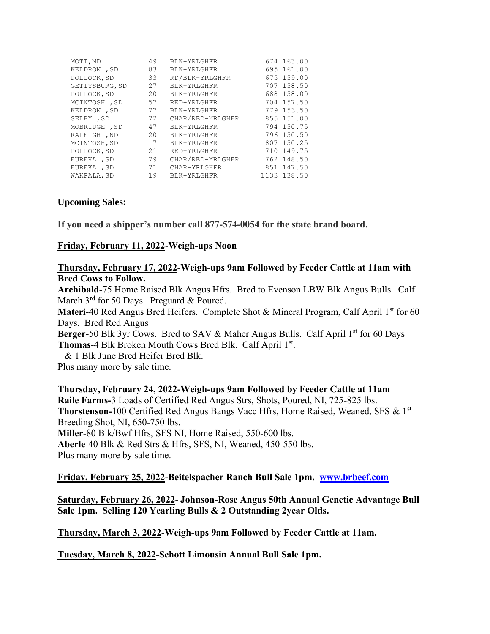| MOTT, ND       | 49 | BLK-YRLGHFR      | 674 163.00  |
|----------------|----|------------------|-------------|
| KELDRON , SD   | 83 | BLK-YRLGHFR      | 695 161.00  |
| POLLOCK, SD    | 33 | RD/BLK-YRLGHFR   | 675 159.00  |
| GETTYSBURG, SD | 27 | BLK-YRLGHFR      | 707 158.50  |
| POLLOCK, SD    | 20 | BLK-YRLGHFR      | 688 158.00  |
| MCINTOSH, SD   | 57 | RED-YRLGHFR      | 704 157.50  |
| KELDRON , SD   | 77 | BLK-YRLGHFR      | 779 153.50  |
| SELBY, SD      | 72 | CHAR/RED-YRLGHFR | 855 151.00  |
| MOBRIDGE , SD  | 47 | BLK-YRLGHFR      | 794 150.75  |
| RALEIGH , ND   | 20 | BLK-YRLGHFR      | 796 150.50  |
| MCINTOSH, SD   | 7  | BLK-YRLGHFR      | 807 150.25  |
| POLLOCK, SD    | 21 | RED-YRLGHFR      | 710 149.75  |
| EUREKA, SD     | 79 | CHAR/RED-YRLGHFR | 762 148.50  |
| EUREKA, SD     | 71 | CHAR-YRLGHFR     | 851 147.50  |
| WAKPALA, SD    | 19 | BLK-YRLGHFR      | 1133 138.50 |

## **Upcoming Sales:**

**If you need a shipper's number call 877-574-0054 for the state brand board.**

## **Friday, February 11, 2022**-**Weigh-ups Noon**

## **Thursday, February 17, 2022-Weigh-ups 9am Followed by Feeder Cattle at 11am with Bred Cows to Follow.**

**Archibald-**75 Home Raised Blk Angus Hfrs. Bred to Evenson LBW Blk Angus Bulls. Calf March 3<sup>rd</sup> for 50 Days. Preguard & Poured.

**Materi-40 Red Angus Bred Heifers. Complete Shot & Mineral Program, Calf April 1st for 60** Days. Bred Red Angus

**Berger-50 Blk 3yr Cows. Bred to SAV & Maher Angus Bulls. Calf April 1<sup>st</sup> for 60 Days** Thomas-4 Blk Broken Mouth Cows Bred Blk. Calf April 1st.

& 1 Blk June Bred Heifer Bred Blk.

Plus many more by sale time.

**Thursday, February 24, 2022-Weigh-ups 9am Followed by Feeder Cattle at 11am Raile Farms-**3 Loads of Certified Red Angus Strs, Shots, Poured, NI, 725-825 lbs. **Thorstenson-**100 Certified Red Angus Bangs Vacc Hfrs, Home Raised, Weaned, SFS & 1st Breeding Shot, NI, 650-750 lbs. **Miller**-80 Blk/Bwf Hfrs, SFS NI, Home Raised, 550-600 lbs. **Aberle**-40 Blk & Red Strs & Hfrs, SFS, NI, Weaned, 450-550 lbs. Plus many more by sale time.

**Friday, February 25, 2022-Beitelspacher Ranch Bull Sale 1pm. [www.brbeef.com](http://www.brbeef.com/)**

**Saturday, February 26, 2022- Johnson-Rose Angus 50th Annual Genetic Advantage Bull Sale 1pm. Selling 120 Yearling Bulls & 2 Outstanding 2year Olds.**

**Thursday, March 3, 2022-Weigh-ups 9am Followed by Feeder Cattle at 11am.**

**Tuesday, March 8, 2022-Schott Limousin Annual Bull Sale 1pm.**